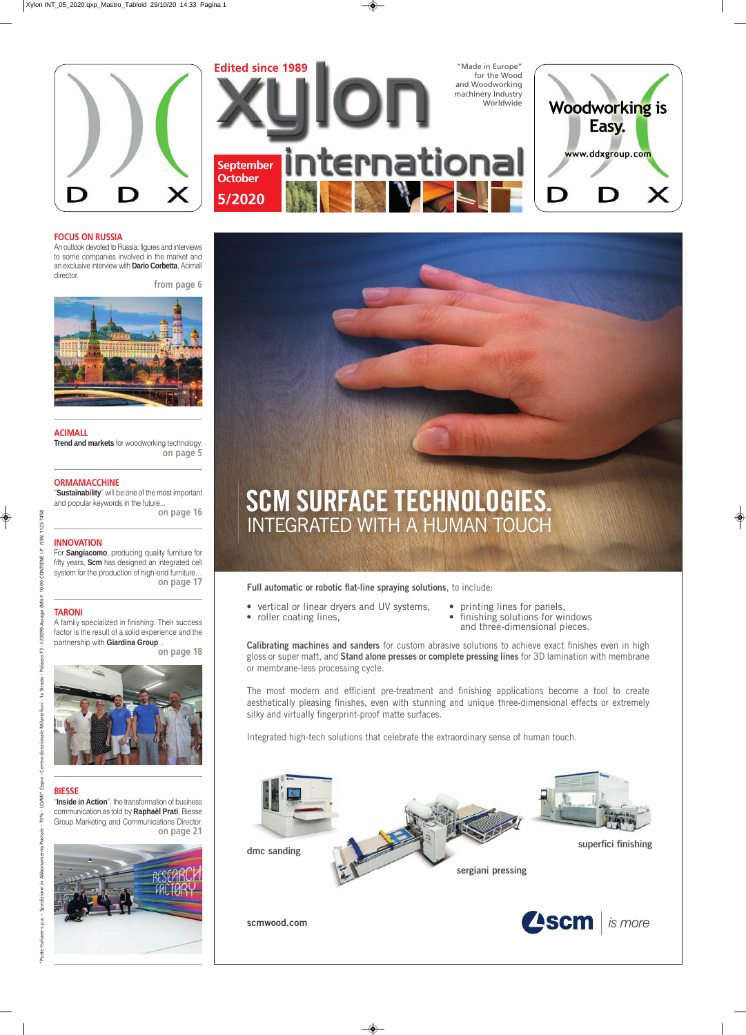



**Calibrating machines and sanders** for custom abrasive solutions to achieve exact finishes even in high gloss or super matt, and **Stand alone presses or complete pressing lines** for 3D lamination with membrane or membrane-less processing cycle.

The most modern and efficient pre-treatment and finishing applications become a tool to create aesthetically pleasing finishes, even with stunning and unique three-dimensional effects or extremely silky and virtually fingerprint-proof matte surfaces.



Integrated high-tech solutions that celebrate the extraordinary sense of human touch.

- 
- vertical or linear dryers and UV systems, • roller coating lines,
- printing lines for panels, • finishing solutions for windows
- and three-dimensional pieces.



Full automatic or robotic flat-line spraying solutions, to include:

ISSN 1125-7458

CONTIENE I.P.

10,00  $(MI) \in 1$ 

Assago

 $-1-20090$ က် Palazzo

ale Milanofiori - 1a Strada

For **Sangiacomo**, producing quality furniture for fifty years, **Scm** has designed an integrated cell system for the production of high-end furniture… **on page 17**

## **FOCUS ON RUSSIA**

An outlook devoted to Russia: figures and interviews to some companies involved in the market and an exclusive interview with **Dario Corbetta**, Acimall director.

**from page 6**



# **TARONI**

A family specialized in finishing. Their success factor is the result of a solid experience and the partnership with **Giardina Group**...

**on page 18**



## **ACIMALL**

**Trend and markets** for woodworking technology. **on page 5**

# **ORMAMACCHINE**

"**Sustainability**" will be one of the most important and popular keywords in the future... **on page 16**

#### **BIESSE**

"**Inside in Action**", the transformation of business communication as told by **Raphaël Prati**, Biesse Group Marketing and Communications Director. **on page 21**